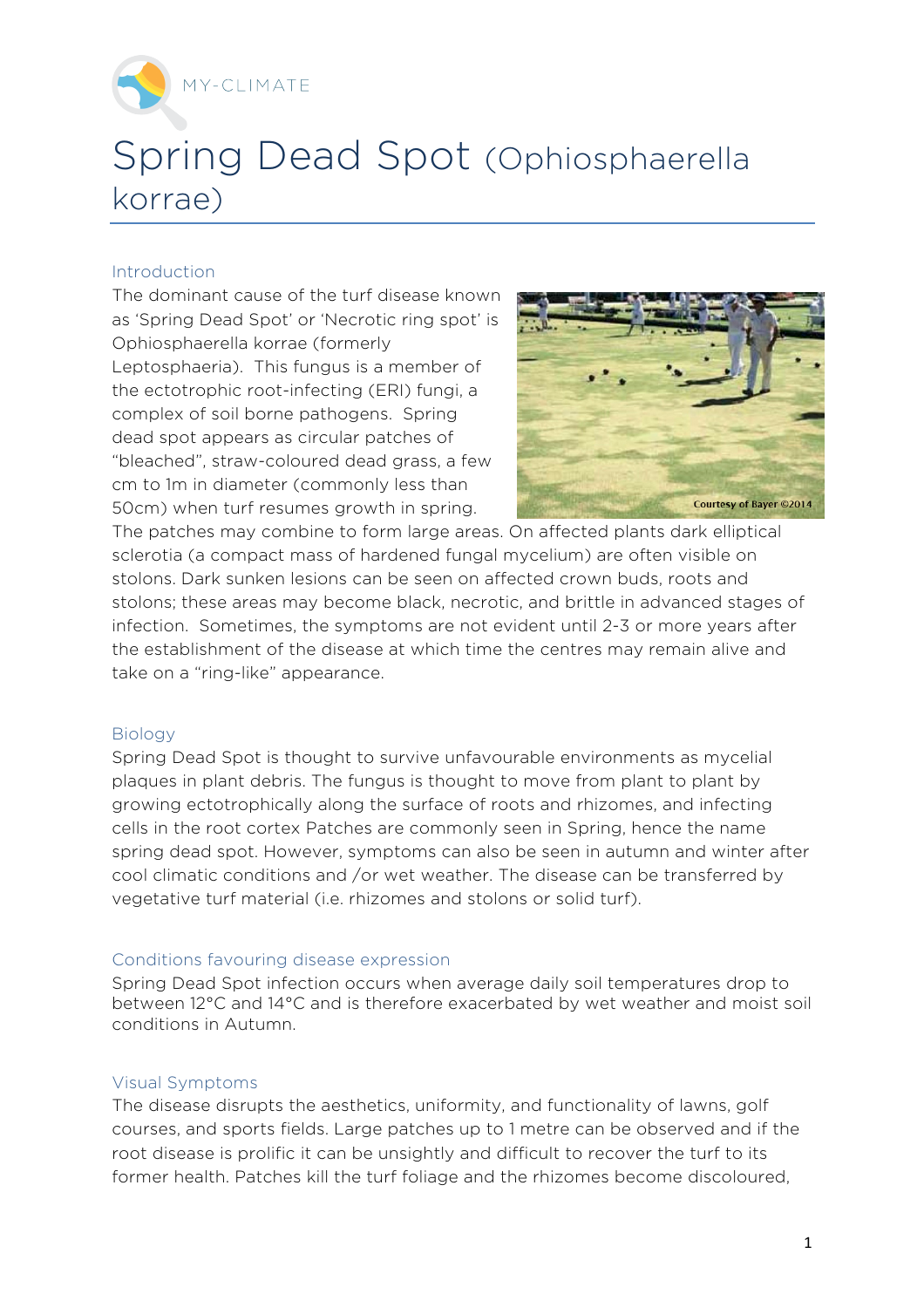

# Spring Dead Spot (Ophiosphaerella korrae)

## Introduction

The dominant cause of the turf disease known as 'Spring Dead Spot' or 'Necrotic ring spot' is Ophiosphaerella korrae (formerly Leptosphaeria). This fungus is a member of the ectotrophic root-infecting (ERI) fungi, a complex of soil borne pathogens. Spring dead spot appears as circular patches of "bleached", straw-coloured dead grass, a few cm to 1m in diameter (commonly less than 50cm) when turf resumes growth in spring.



The patches may combine to form large areas. On affected plants dark elliptical sclerotia (a compact mass of hardened fungal mycelium) are often visible on stolons. Dark sunken lesions can be seen on affected crown buds, roots and stolons; these areas may become black, necrotic, and brittle in advanced stages of infection. Sometimes, the symptoms are not evident until 2-3 or more years after the establishment of the disease at which time the centres may remain alive and take on a "ring-like" appearance.

#### Biology

Spring Dead Spot is thought to survive unfavourable environments as mycelial plaques in plant debris. The fungus is thought to move from plant to plant by growing ectotrophically along the surface of roots and rhizomes, and infecting cells in the root cortex Patches are commonly seen in Spring, hence the name spring dead spot. However, symptoms can also be seen in autumn and winter after cool climatic conditions and /or wet weather. The disease can be transferred by vegetative turf material (i.e. rhizomes and stolons or solid turf).

#### Conditions favouring disease expression

Spring Dead Spot infection occurs when average daily soil temperatures drop to between 12°C and 14°C and is therefore exacerbated by wet weather and moist soil conditions in Autumn.

#### Visual Symptoms

The disease disrupts the aesthetics, uniformity, and functionality of lawns, golf courses, and sports fields. Large patches up to 1 metre can be observed and if the root disease is prolific it can be unsightly and difficult to recover the turf to its former health. Patches kill the turf foliage and the rhizomes become discoloured,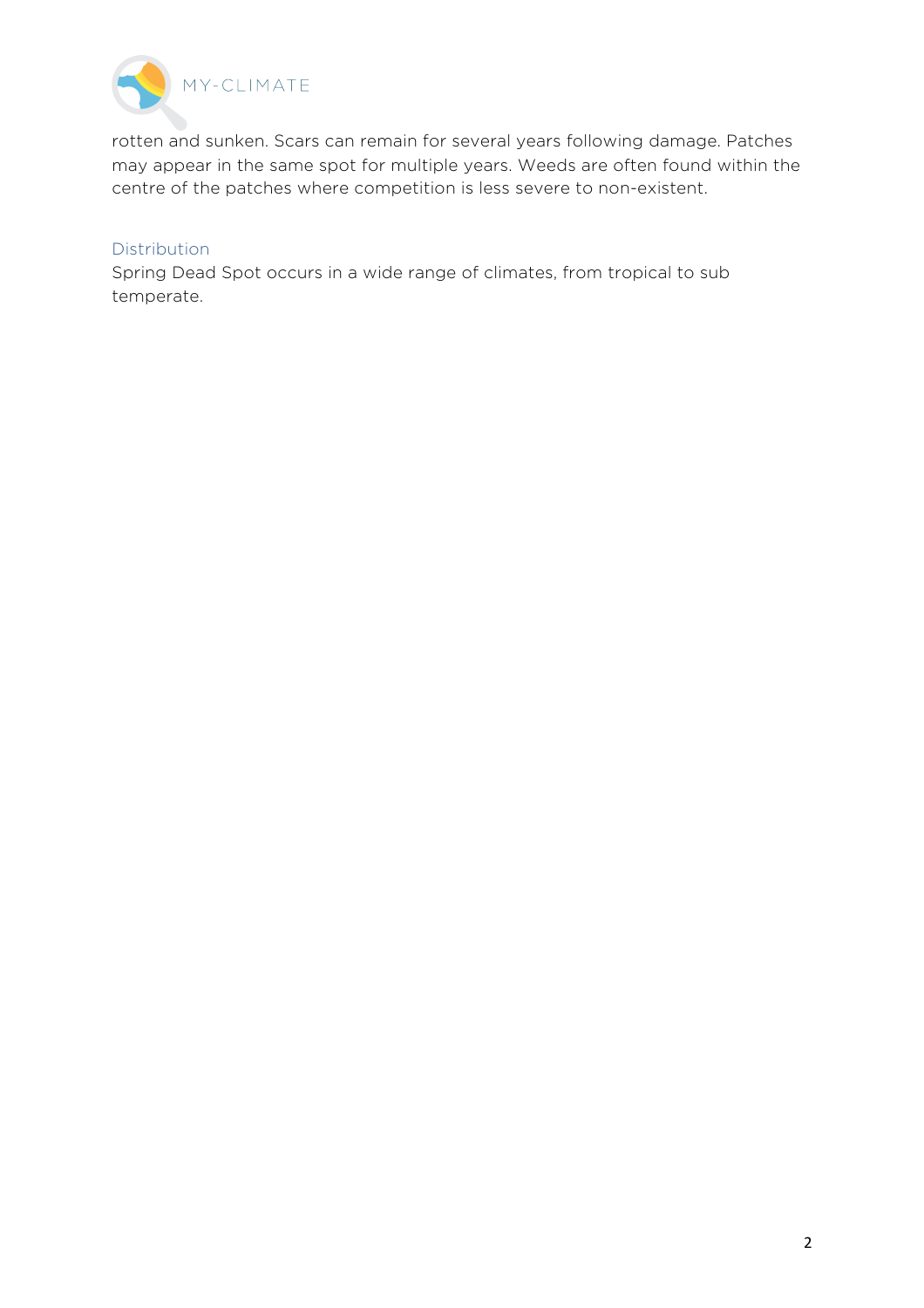

rotten and sunken. Scars can remain for several years following damage. Patches may appear in the same spot for multiple years. Weeds are often found within the centre of the patches where competition is less severe to non-existent.

## Distribution

Spring Dead Spot occurs in a wide range of climates, from tropical to sub temperate.